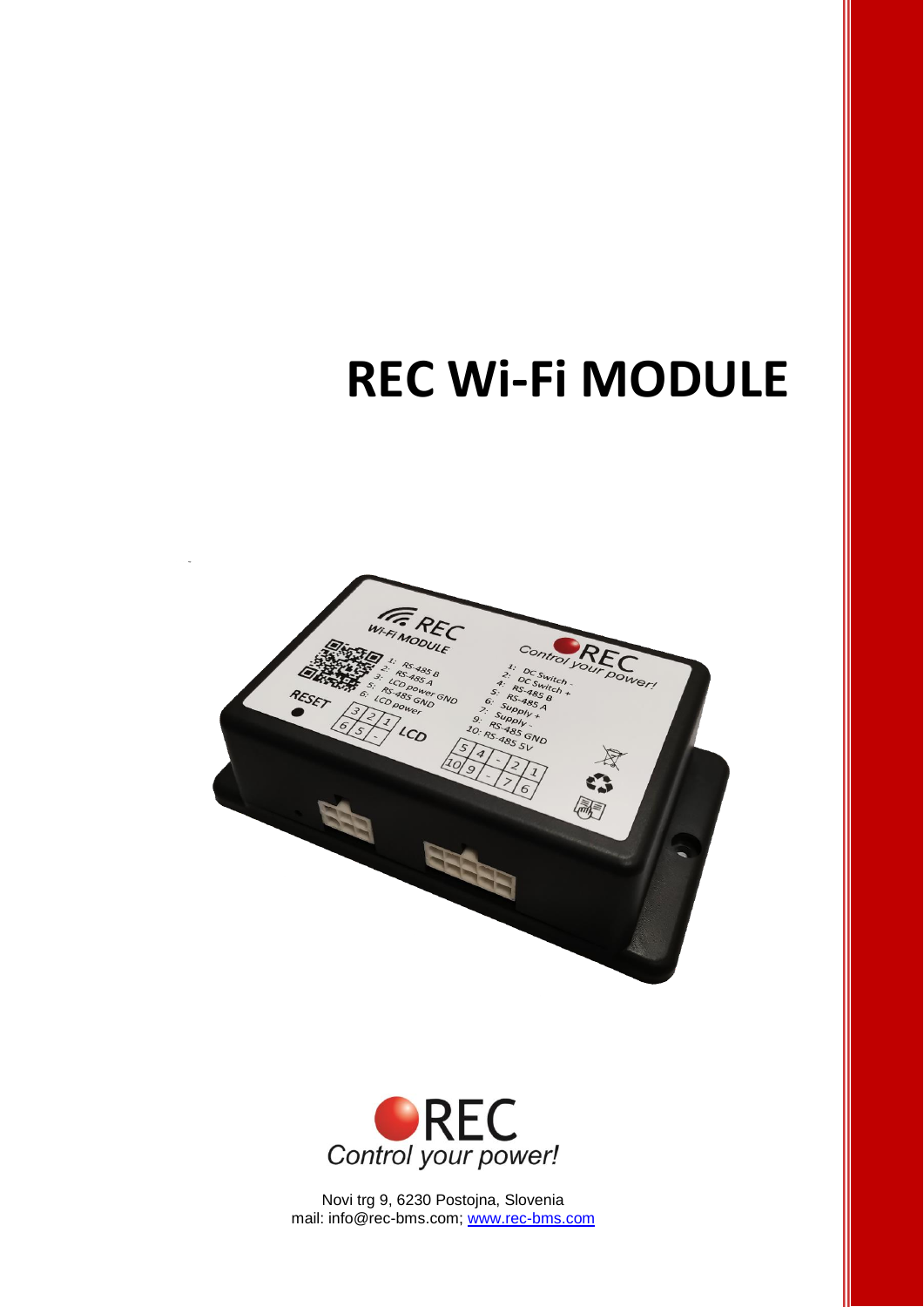# **REC Wi-Fi MODULE**





Novi trg 9, 6230 Postojna, Slovenia mail: info@rec-bms.com; [www.rec-bms.com](http://www.rec-bms.com/)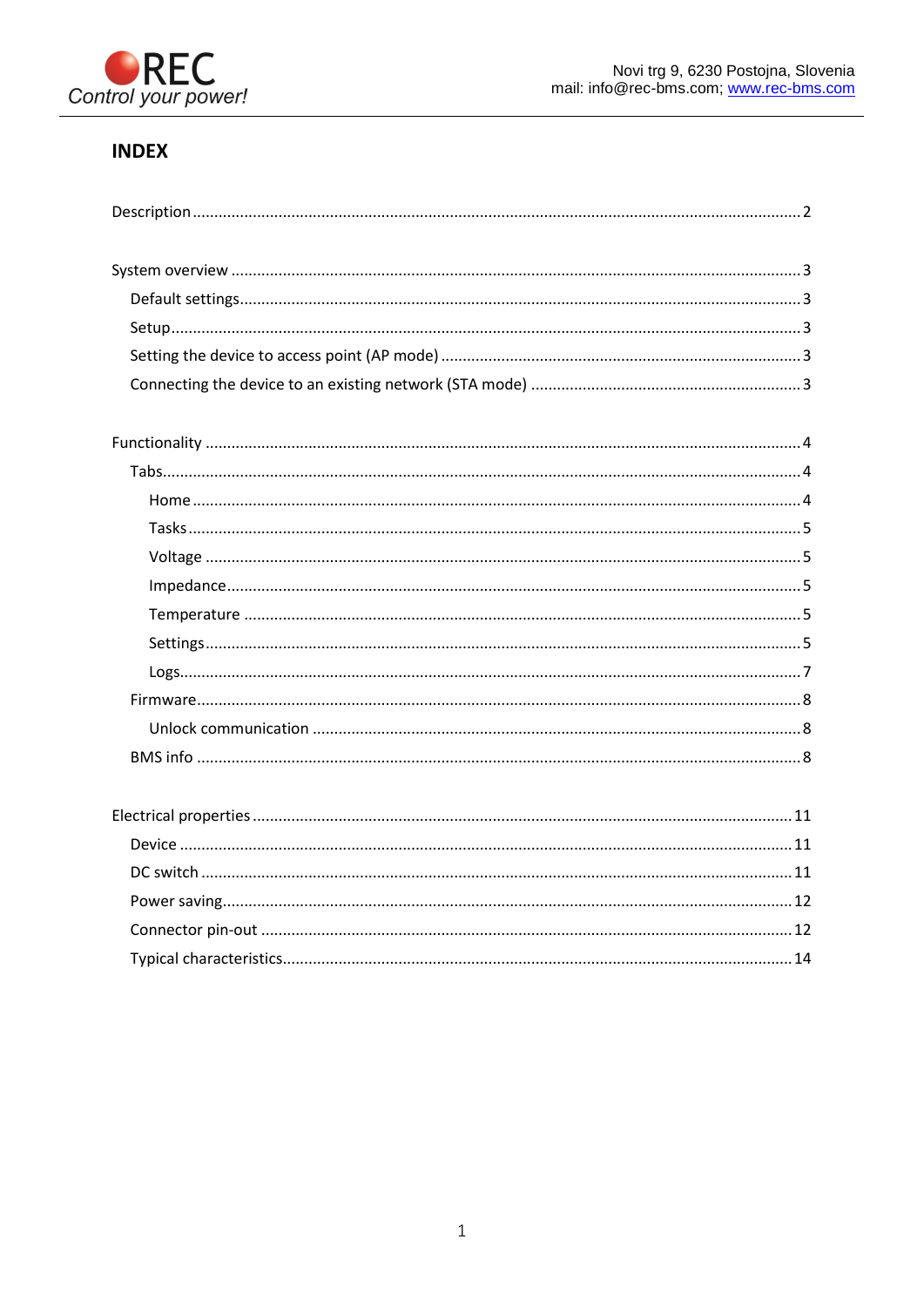

## **INDEX**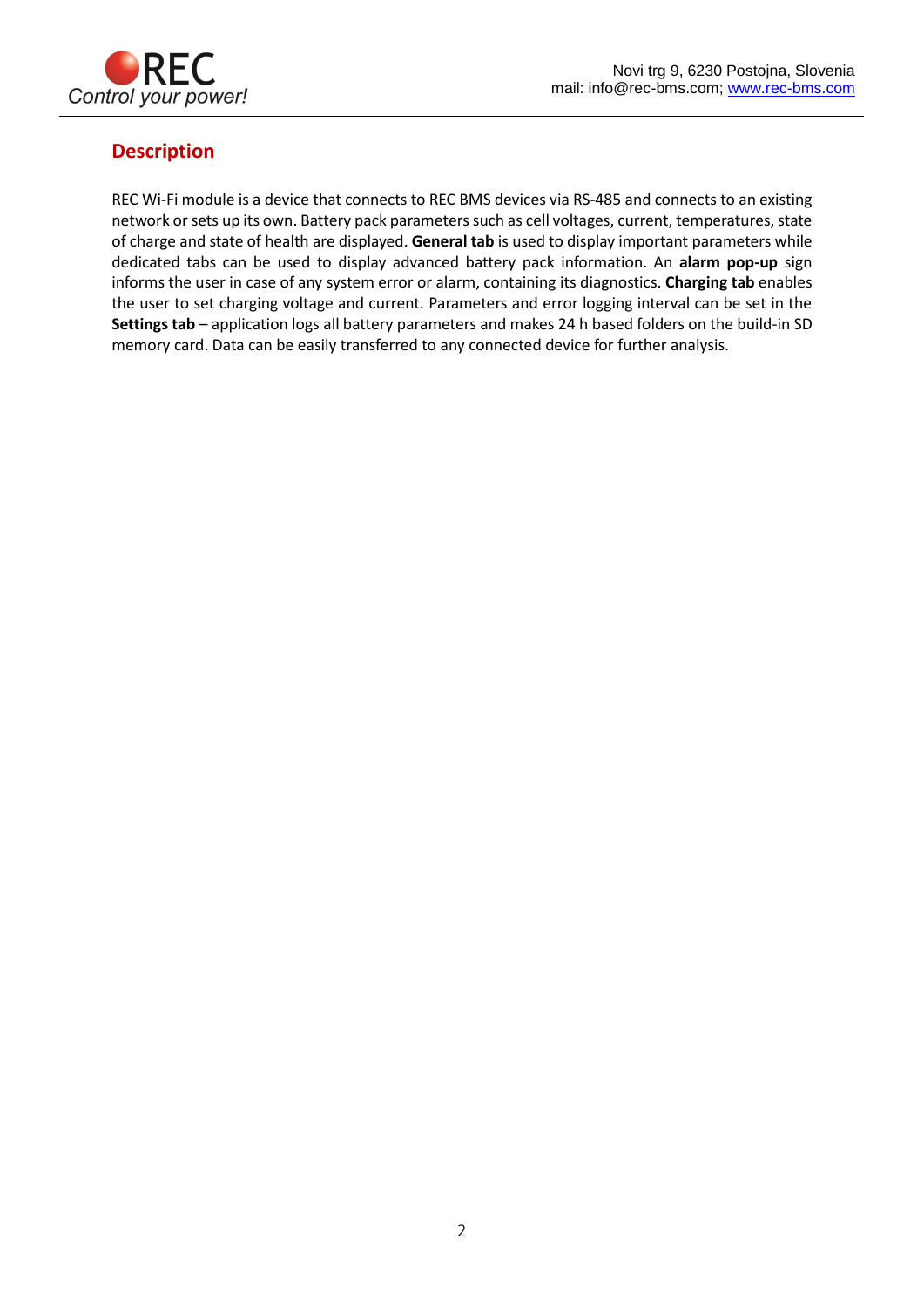

## <span id="page-2-0"></span>**Description**

REC Wi-Fi module is a device that connects to REC BMS devices via RS-485 and connects to an existing network or sets up its own. Battery pack parameters such as cell voltages, current, temperatures, state of charge and state of health are displayed. **General tab** is used to display important parameters while dedicated tabs can be used to display advanced battery pack information. An **alarm pop-up** sign informs the user in case of any system error or alarm, containing its diagnostics. **Charging tab** enables the user to set charging voltage and current. Parameters and error logging interval can be set in the **Settings tab** – application logs all battery parameters and makes 24 h based folders on the build-in SD memory card. Data can be easily transferred to any connected device for further analysis.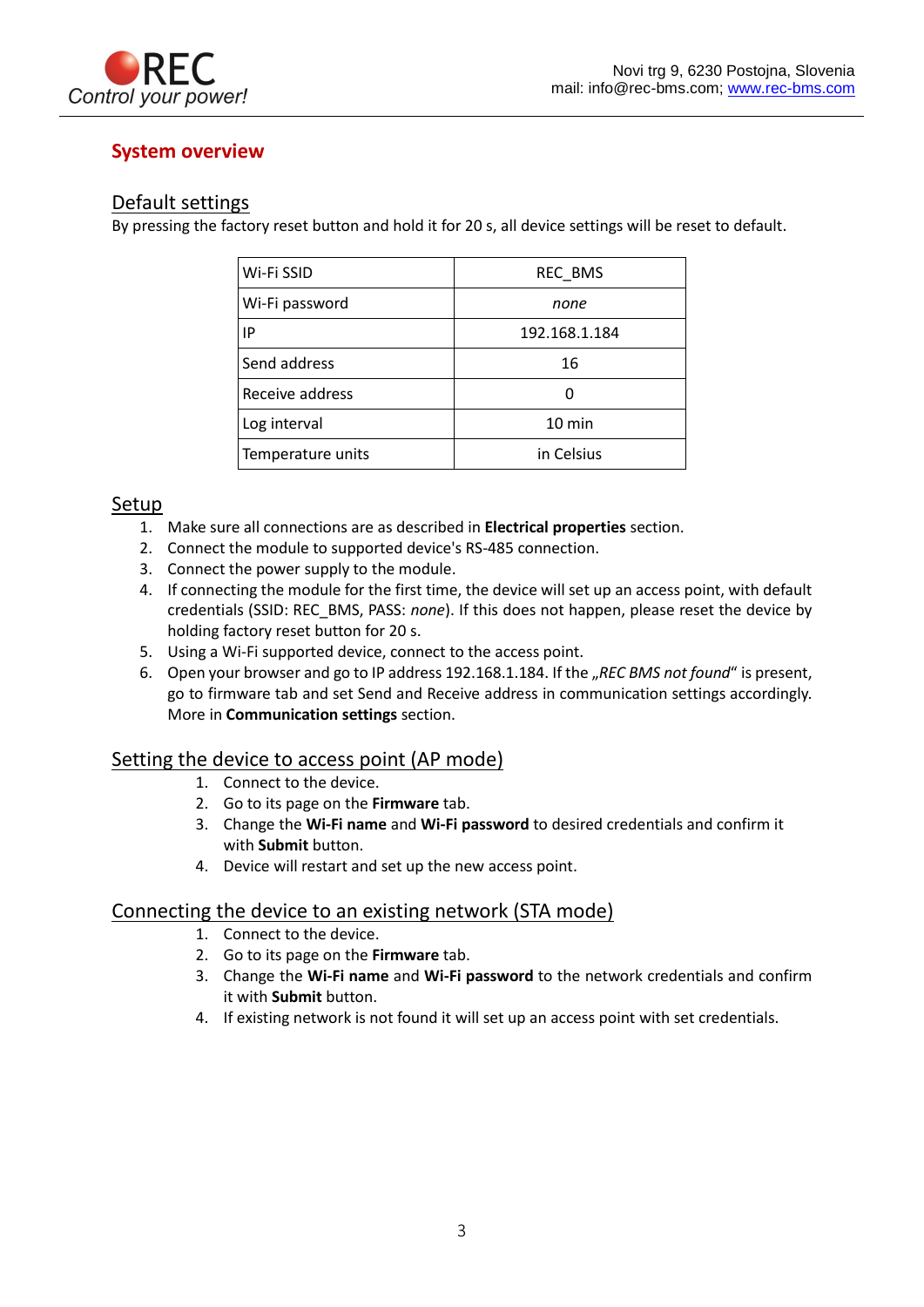

## <span id="page-3-0"></span>**System overview**

### <span id="page-3-1"></span>Default settings

By pressing the factory reset button and hold it for 20 s, all device settings will be reset to default.

| Wi-Fi SSID        | REC_BMS          |
|-------------------|------------------|
| Wi-Fi password    | none             |
| IP                | 192.168.1.184    |
| Send address      | 16               |
| Receive address   |                  |
| Log interval      | $10 \text{ min}$ |
| Temperature units | in Celsius       |

### <span id="page-3-2"></span>Setup

- 1. Make sure all connections are as described in **Electrical properties** section.
- 2. Connect the module to supported device's RS-485 connection.
- 3. Connect the power supply to the module.
- 4. If connecting the module for the first time, the device will set up an access point, with default credentials (SSID: REC\_BMS, PASS: *none*). If this does not happen, please reset the device by holding factory reset button for 20 s.
- 5. Using a Wi-Fi supported device, connect to the access point.
- 6. Open your browser and go to IP address 192.168.1.184. If the "REC BMS not found" is present, go to firmware tab and set Send and Receive address in communication settings accordingly. More in **Communication settings** section.

### <span id="page-3-3"></span>Setting the device to access point (AP mode)

- 1. Connect to the device.
- 2. Go to its page on the **Firmware** tab.
- 3. Change the **Wi-Fi name** and **Wi-Fi password** to desired credentials and confirm it with **Submit** button.
- 4. Device will restart and set up the new access point.

### <span id="page-3-4"></span>Connecting the device to an existing network (STA mode)

- 1. Connect to the device.
- 2. Go to its page on the **Firmware** tab.
- 3. Change the **Wi-Fi name** and **Wi-Fi password** to the network credentials and confirm it with **Submit** button.
- 4. If existing network is not found it will set up an access point with set credentials.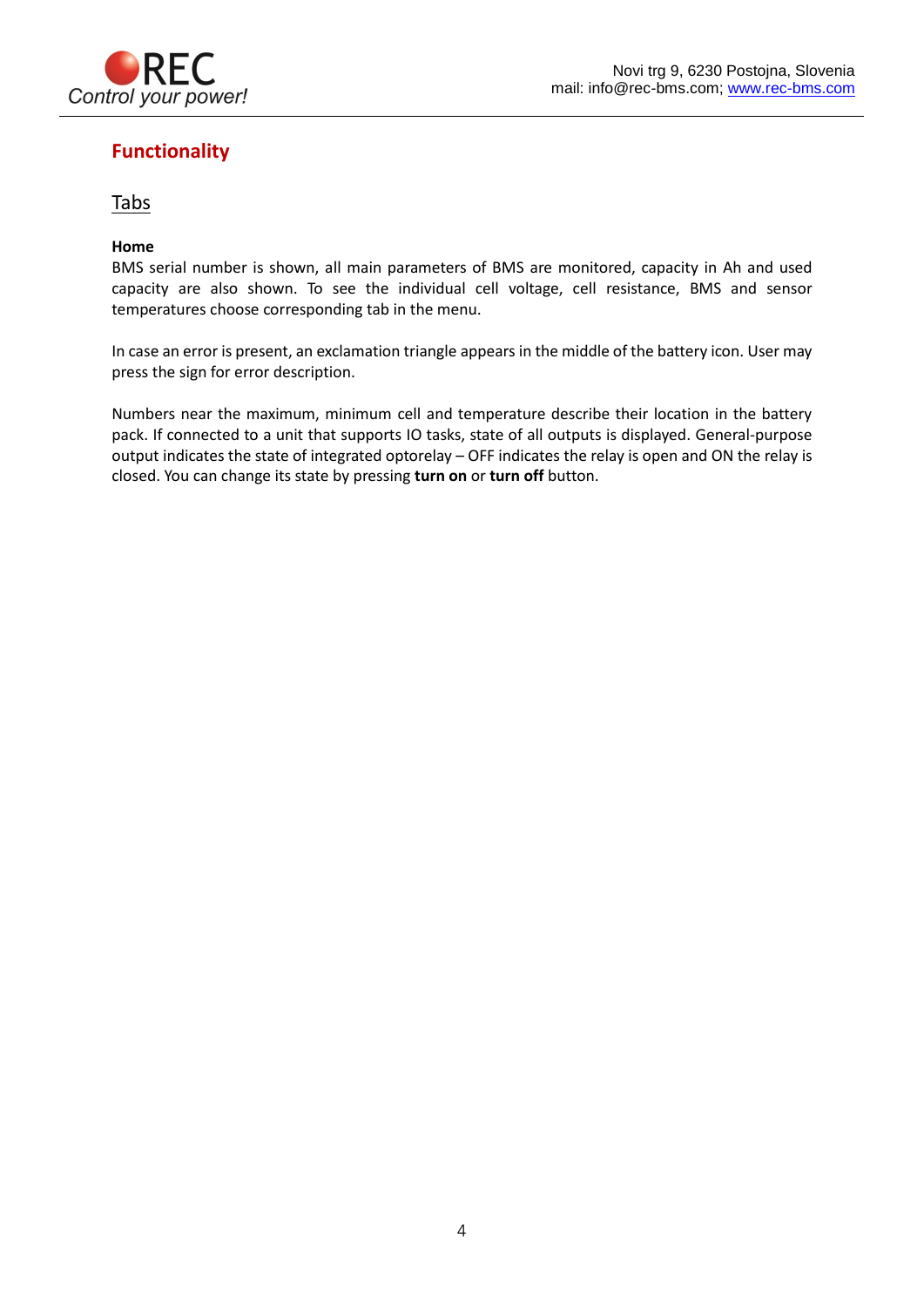

## <span id="page-4-0"></span>**Functionality**

## <span id="page-4-1"></span>Tabs

### <span id="page-4-2"></span>**Home**

BMS serial number is shown, all main parameters of BMS are monitored, capacity in Ah and used capacity are also shown. To see the individual cell voltage, cell resistance, BMS and sensor temperatures choose corresponding tab in the menu.

In case an error is present, an exclamation triangle appears in the middle of the battery icon. User may press the sign for error description.

Numbers near the maximum, minimum cell and temperature describe their location in the battery pack. If connected to a unit that supports IO tasks, state of all outputs is displayed. General-purpose output indicates the state of integrated optorelay – OFF indicates the relay is open and ON the relay is closed. You can change its state by pressing **turn on** or **turn off** button.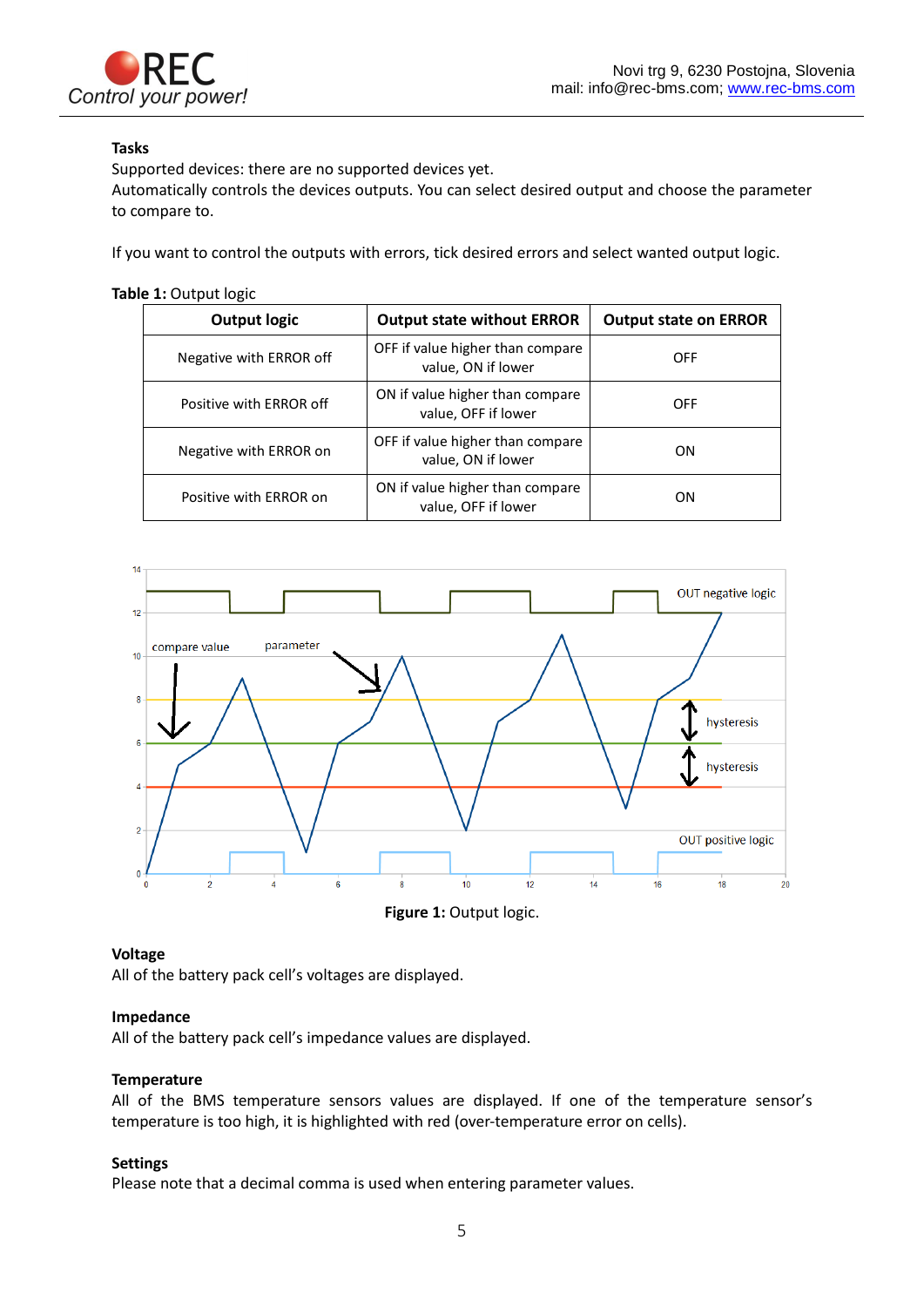

### <span id="page-5-0"></span>**Tasks**

Supported devices: there are no supported devices yet.

Automatically controls the devices outputs. You can select desired output and choose the parameter to compare to.

If you want to control the outputs with errors, tick desired errors and select wanted output logic.

### **Table 1:** Output logic

| <b>Output logic</b>     | <b>Output state without ERROR</b>                      | <b>Output state on ERROR</b> |
|-------------------------|--------------------------------------------------------|------------------------------|
| Negative with ERROR off | OFF if value higher than compare<br>value, ON if lower | OFF                          |
| Positive with ERROR off | ON if value higher than compare<br>value, OFF if lower | OFF                          |
| Negative with ERROR on  | OFF if value higher than compare<br>value, ON if lower | ON                           |
| Positive with ERROR on  | ON if value higher than compare<br>value, OFF if lower | ON                           |





### <span id="page-5-1"></span>**Voltage**

All of the battery pack cell's voltages are displayed.

### <span id="page-5-2"></span>**Impedance**

All of the battery pack cell's impedance values are displayed.

### <span id="page-5-3"></span>**Temperature**

All of the BMS temperature sensors values are displayed. If one of the temperature sensor's temperature is too high, it is highlighted with red (over-temperature error on cells).

### <span id="page-5-4"></span>**Settings**

Please note that a decimal comma is used when entering parameter values.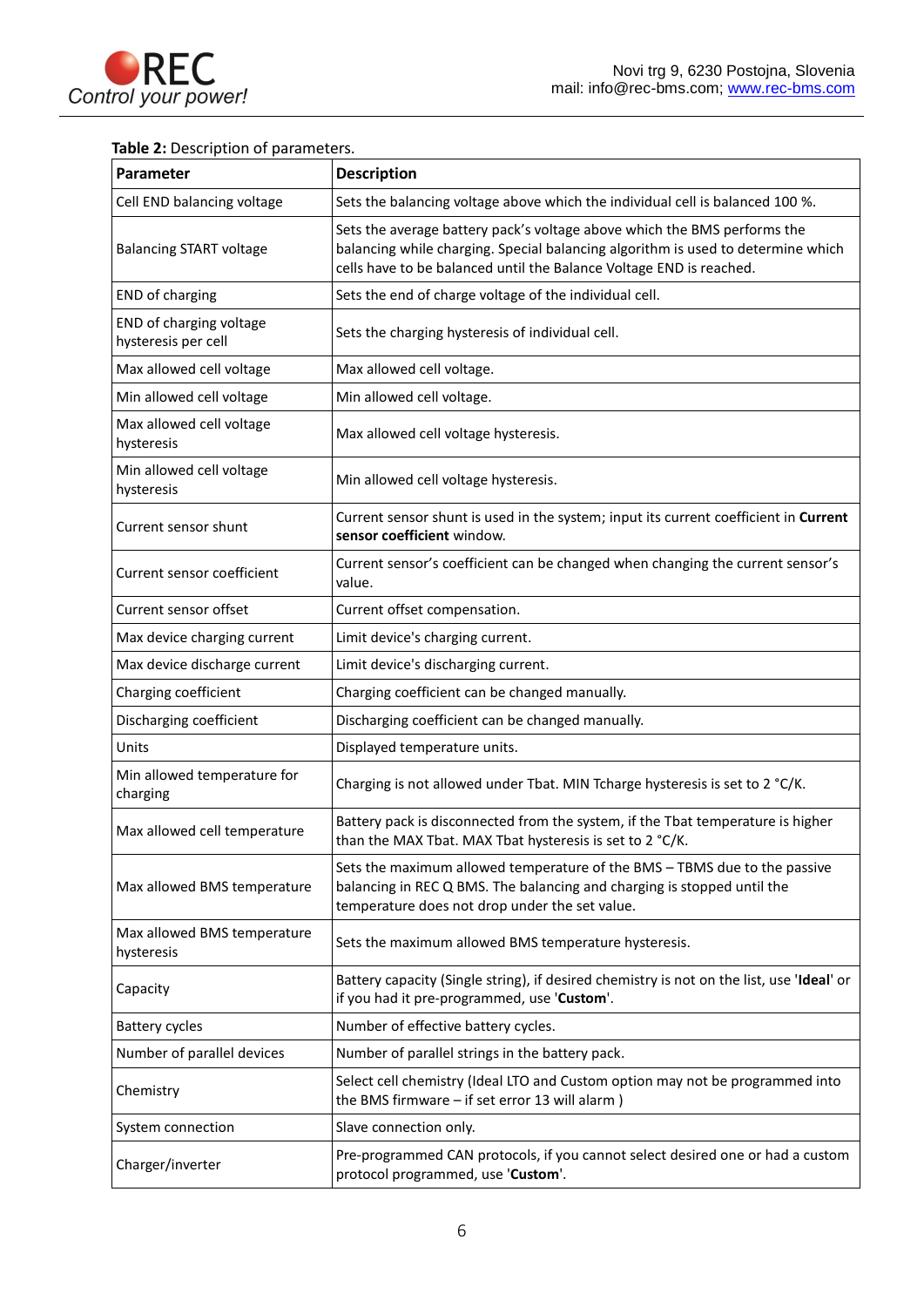

## **Table 2:** Description of parameters.

| Parameter                                      | <b>Description</b>                                                                                                                                                                                                                  |
|------------------------------------------------|-------------------------------------------------------------------------------------------------------------------------------------------------------------------------------------------------------------------------------------|
| Cell END balancing voltage                     | Sets the balancing voltage above which the individual cell is balanced 100 %.                                                                                                                                                       |
| <b>Balancing START voltage</b>                 | Sets the average battery pack's voltage above which the BMS performs the<br>balancing while charging. Special balancing algorithm is used to determine which<br>cells have to be balanced until the Balance Voltage END is reached. |
| END of charging                                | Sets the end of charge voltage of the individual cell.                                                                                                                                                                              |
| END of charging voltage<br>hysteresis per cell | Sets the charging hysteresis of individual cell.                                                                                                                                                                                    |
| Max allowed cell voltage                       | Max allowed cell voltage.                                                                                                                                                                                                           |
| Min allowed cell voltage                       | Min allowed cell voltage.                                                                                                                                                                                                           |
| Max allowed cell voltage<br>hysteresis         | Max allowed cell voltage hysteresis.                                                                                                                                                                                                |
| Min allowed cell voltage<br>hysteresis         | Min allowed cell voltage hysteresis.                                                                                                                                                                                                |
| Current sensor shunt                           | Current sensor shunt is used in the system; input its current coefficient in Current<br>sensor coefficient window.                                                                                                                  |
| Current sensor coefficient                     | Current sensor's coefficient can be changed when changing the current sensor's<br>value.                                                                                                                                            |
| Current sensor offset                          | Current offset compensation.                                                                                                                                                                                                        |
| Max device charging current                    | Limit device's charging current.                                                                                                                                                                                                    |
| Max device discharge current                   | Limit device's discharging current.                                                                                                                                                                                                 |
| Charging coefficient                           | Charging coefficient can be changed manually.                                                                                                                                                                                       |
| Discharging coefficient                        | Discharging coefficient can be changed manually.                                                                                                                                                                                    |
| Units                                          | Displayed temperature units.                                                                                                                                                                                                        |
| Min allowed temperature for<br>charging        | Charging is not allowed under Tbat. MIN Tcharge hysteresis is set to 2 °C/K.                                                                                                                                                        |
| Max allowed cell temperature                   | Battery pack is disconnected from the system, if the Tbat temperature is higher<br>than the MAX Tbat. MAX Tbat hysteresis is set to 2 °C/K.                                                                                         |
| Max allowed BMS temperature                    | Sets the maximum allowed temperature of the BMS - TBMS due to the passive<br>balancing in REC Q BMS. The balancing and charging is stopped until the<br>temperature does not drop under the set value.                              |
| Max allowed BMS temperature<br>hysteresis      | Sets the maximum allowed BMS temperature hysteresis.                                                                                                                                                                                |
| Capacity                                       | Battery capacity (Single string), if desired chemistry is not on the list, use 'Ideal' or<br>if you had it pre-programmed, use 'Custom'.                                                                                            |
| <b>Battery cycles</b>                          | Number of effective battery cycles.                                                                                                                                                                                                 |
| Number of parallel devices                     | Number of parallel strings in the battery pack.                                                                                                                                                                                     |
| Chemistry                                      | Select cell chemistry (Ideal LTO and Custom option may not be programmed into<br>the BMS firmware - if set error 13 will alarm)                                                                                                     |
| System connection                              | Slave connection only.                                                                                                                                                                                                              |
| Charger/inverter                               | Pre-programmed CAN protocols, if you cannot select desired one or had a custom<br>protocol programmed, use 'Custom'.                                                                                                                |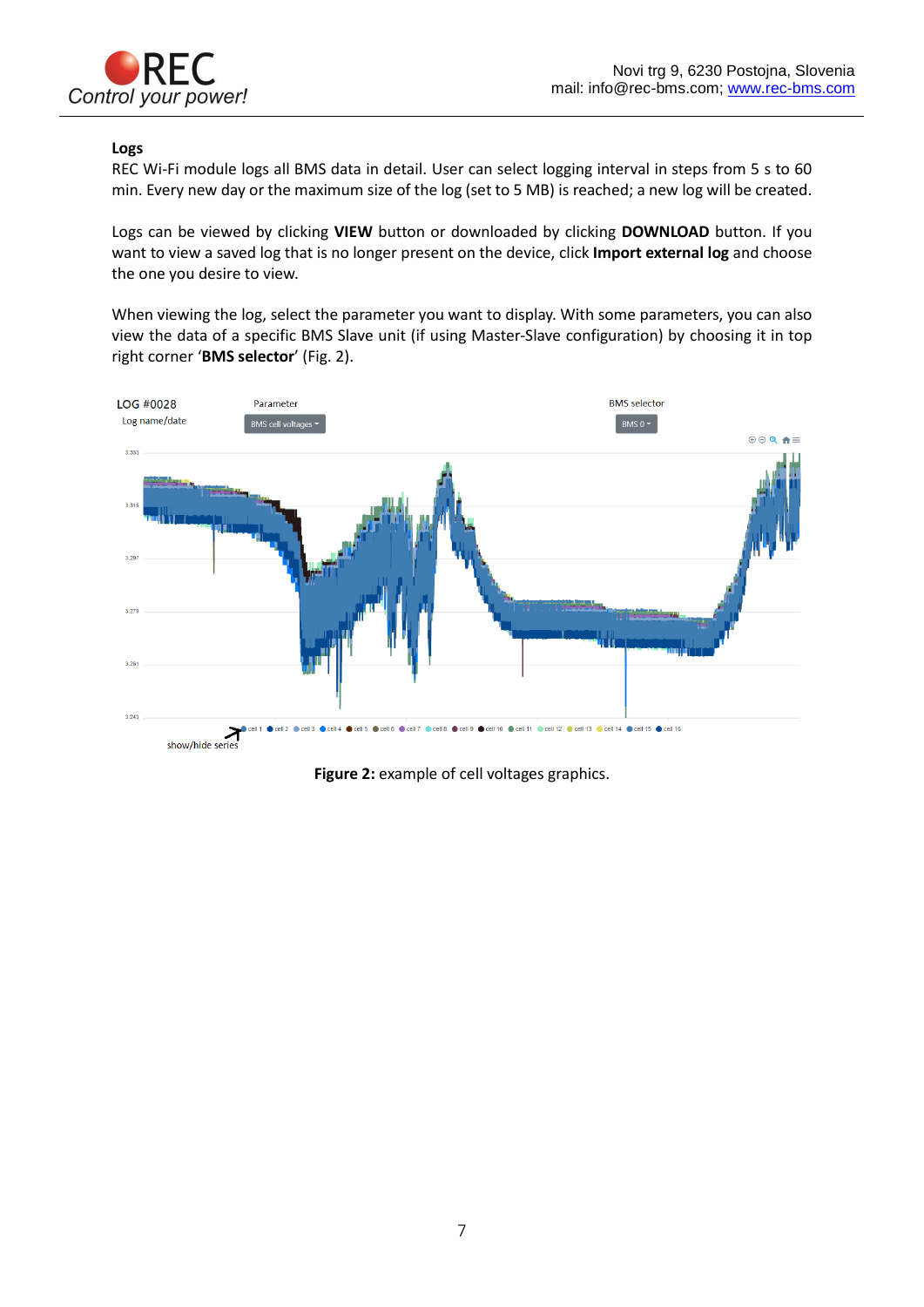

### <span id="page-7-0"></span>**Logs**

REC Wi-Fi module logs all BMS data in detail. User can select logging interval in steps from 5 s to 60 min. Every new day or the maximum size of the log (set to 5 MB) is reached; a new log will be created.

Logs can be viewed by clicking **VIEW** button or downloaded by clicking **DOWNLOAD** button. If you want to view a saved log that is no longer present on the device, click **Import external log** and choose the one you desire to view.

When viewing the log, select the parameter you want to display. With some parameters, you can also view the data of a specific BMS Slave unit (if using Master-Slave configuration) by choosing it in top right corner '**BMS selector**' (Fig. 2).



**Figure 2:** example of cell voltages graphics.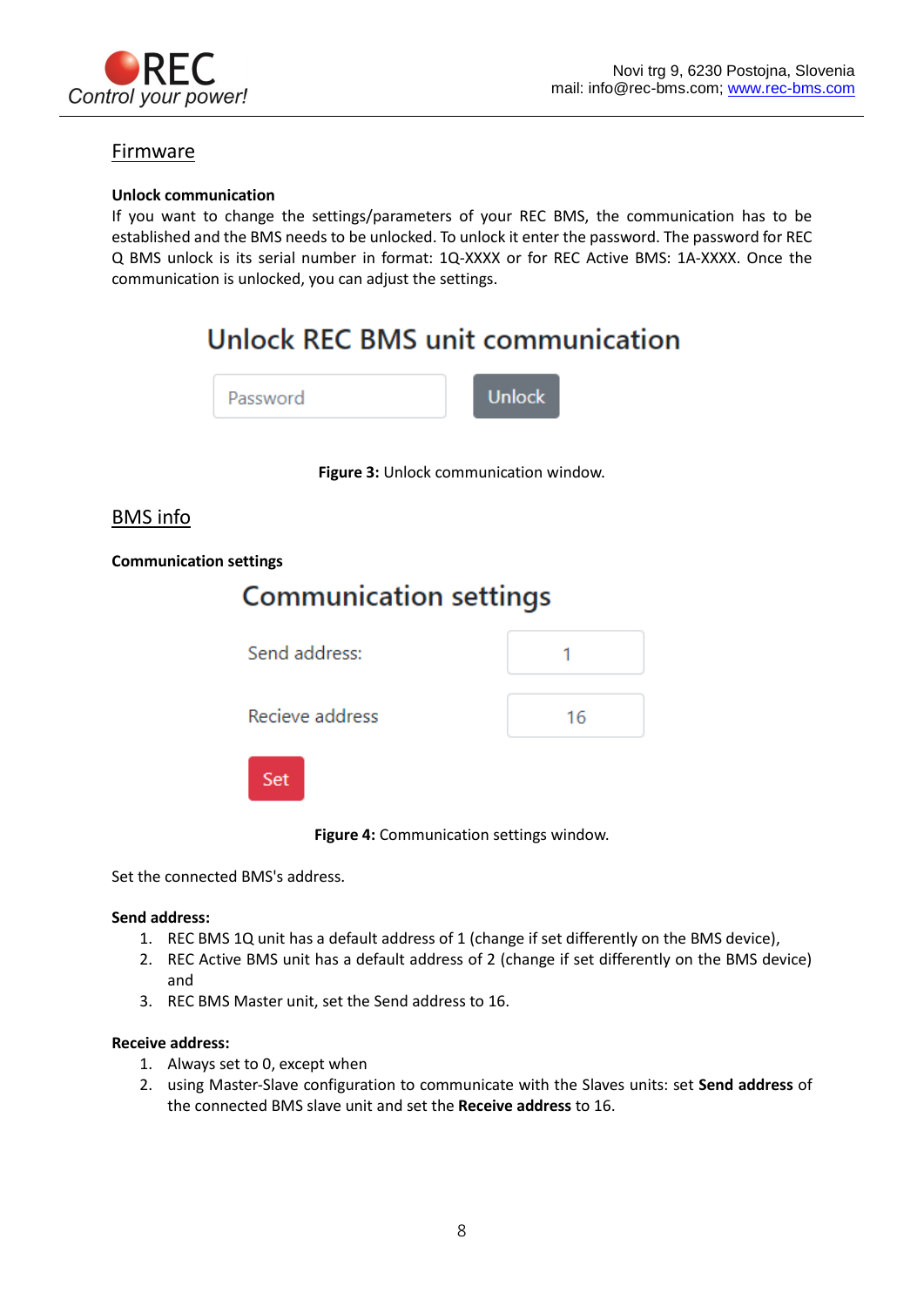

### <span id="page-8-0"></span>Firmware

### <span id="page-8-1"></span>**Unlock communication**

If you want to change the settings/parameters of your REC BMS, the communication has to be established and the BMS needs to be unlocked. To unlock it enter the password. The password for REC Q BMS unlock is its serial number in format: 1Q-XXXX or for REC Active BMS: 1A-XXXX. Once the communication is unlocked, you can adjust the settings.

## **Unlock REC BMS unit communication**

| Password | <b>Unlock</b> |
|----------|---------------|
|----------|---------------|

**Figure 3:** Unlock communication window.

### <span id="page-8-2"></span>BMS info

### **Communication settings**

## **Communication settings** Send address:







**Figure 4:** Communication settings window.

Set the connected BMS's address.

### **Send address:**

- 1. REC BMS 1Q unit has a default address of 1 (change if set differently on the BMS device),
- 2. REC Active BMS unit has a default address of 2 (change if set differently on the BMS device) and
- 3. REC BMS Master unit, set the Send address to 16.

### **Receive address:**

- 1. Always set to 0, except when
- 2. using Master-Slave configuration to communicate with the Slaves units: set **Send address** of the connected BMS slave unit and set the **Receive address** to 16.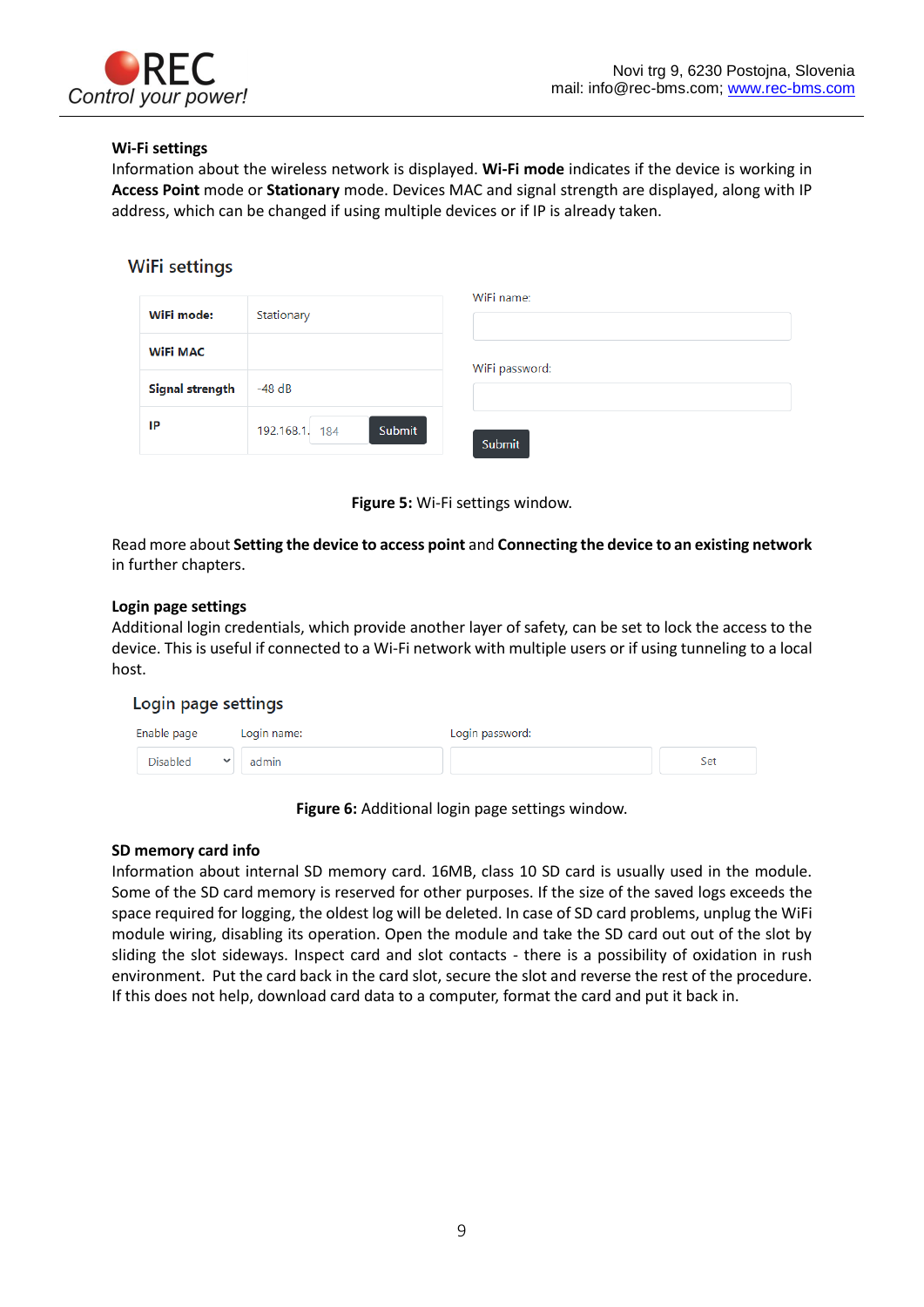

### **Wi-Fi settings**

Information about the wireless network is displayed. **Wi-Fi mode** indicates if the device is working in **Access Point** mode or **Stationary** mode. Devices MAC and signal strength are displayed, along with IP address, which can be changed if using multiple devices or if IP is already taken.

### **WiFi settings**

| WiFi mode:      | Stationary               | WiFi name:     |
|-----------------|--------------------------|----------------|
| <b>WiFi MAC</b> |                          | WiFi password: |
| Signal strength | $-48$ dB                 |                |
| IP              | Submit<br>192.168.1. 184 | Submit         |



Read more about **Setting the device to access point** and **Connecting the device to an existing network** in further chapters.

### **Login page settings**

Additional login credentials, which provide another layer of safety, can be set to lock the access to the device. This is useful if connected to a Wi-Fi network with multiple users or if using tunneling to a local host.

### Login page settings

| Enable page     | Login name: | Login password: |     |
|-----------------|-------------|-----------------|-----|
| <b>Disabled</b> | admin       |                 | Set |

**Figure 6:** Additional login page settings window.

### **SD memory card info**

Information about internal SD memory card. 16MB, class 10 SD card is usually used in the module. Some of the SD card memory is reserved for other purposes. If the size of the saved logs exceeds the space required for logging, the oldest log will be deleted. In case of SD card problems, unplug the WiFi module wiring, disabling its operation. Open the module and take the SD card out out of the slot by sliding the slot sideways. Inspect card and slot contacts - there is a possibility of oxidation in rush environment. Put the card back in the card slot, secure the slot and reverse the rest of the procedure. If this does not help, download card data to a computer, format the card and put it back in.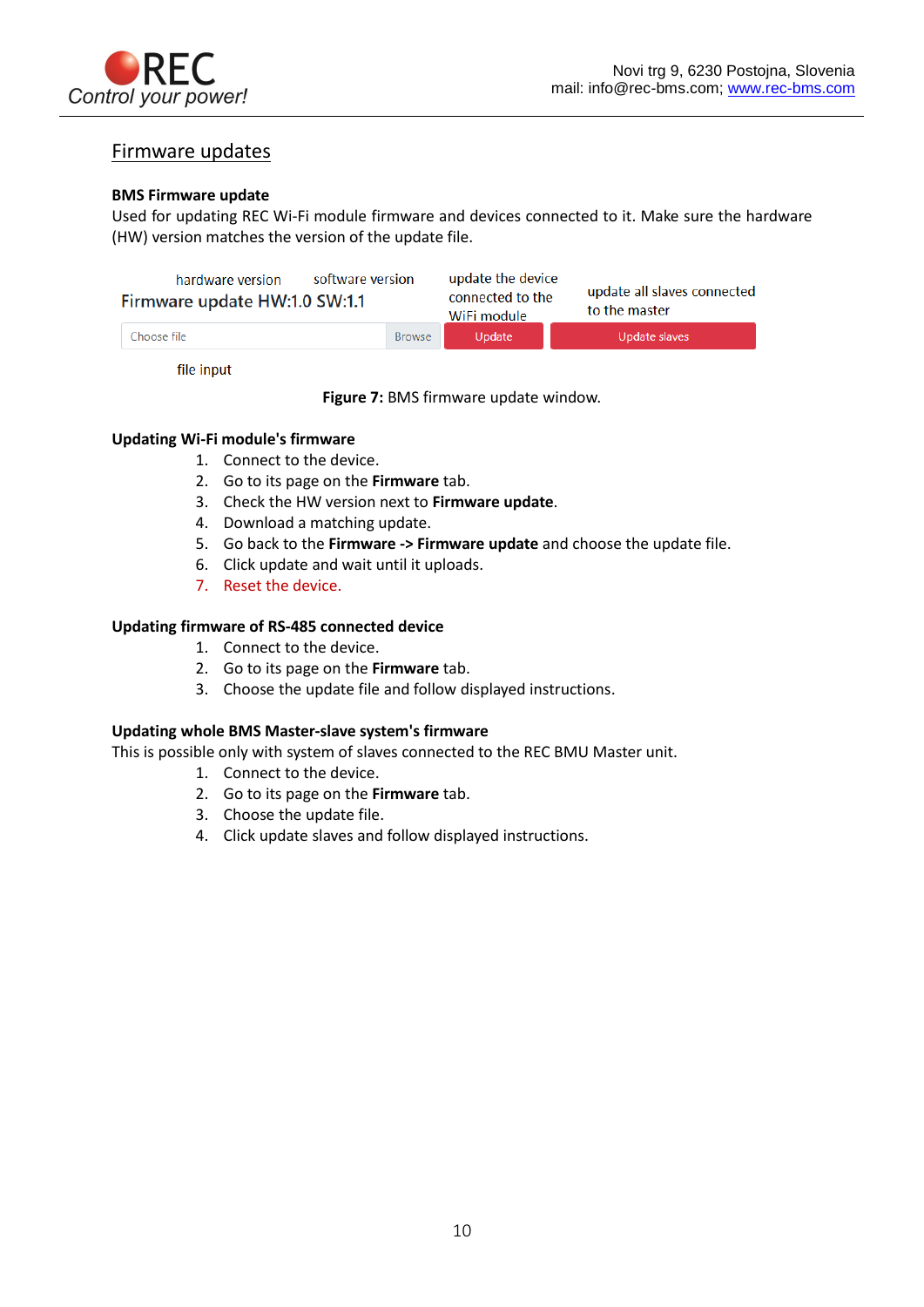

## Firmware updates

### **BMS Firmware update**

Used for updating REC Wi-Fi module firmware and devices connected to it. Make sure the hardware (HW) version matches the version of the update file.

| software version<br>hardware version<br>Firmware update HW:1.0 SW:1.1 |               | update the device<br>update all slaves connected<br>connected to the<br>to the master<br>WiFi module |               |
|-----------------------------------------------------------------------|---------------|------------------------------------------------------------------------------------------------------|---------------|
| Choose file I                                                         | <b>Browse</b> | Update                                                                                               | Update slaves |

file input

**Figure 7:** BMS firmware update window.

### **Updating Wi-Fi module's firmware**

- 1. Connect to the device.
- 2. Go to its page on the **Firmware** tab.
- 3. Check the HW version next to **Firmware update**.
- 4. Download a matching update.
- 5. Go back to the **Firmware -> Firmware update** and choose the update file.
- 6. Click update and wait until it uploads.
- 7. Reset the device.

### **Updating firmware of RS-485 connected device**

- 1. Connect to the device.
- 2. Go to its page on the **Firmware** tab.
- 3. Choose the update file and follow displayed instructions.

### **Updating whole BMS Master-slave system's firmware**

This is possible only with system of slaves connected to the REC BMU Master unit.

- 1. Connect to the device.
- 2. Go to its page on the **Firmware** tab.
- 3. Choose the update file.
- 4. Click update slaves and follow displayed instructions.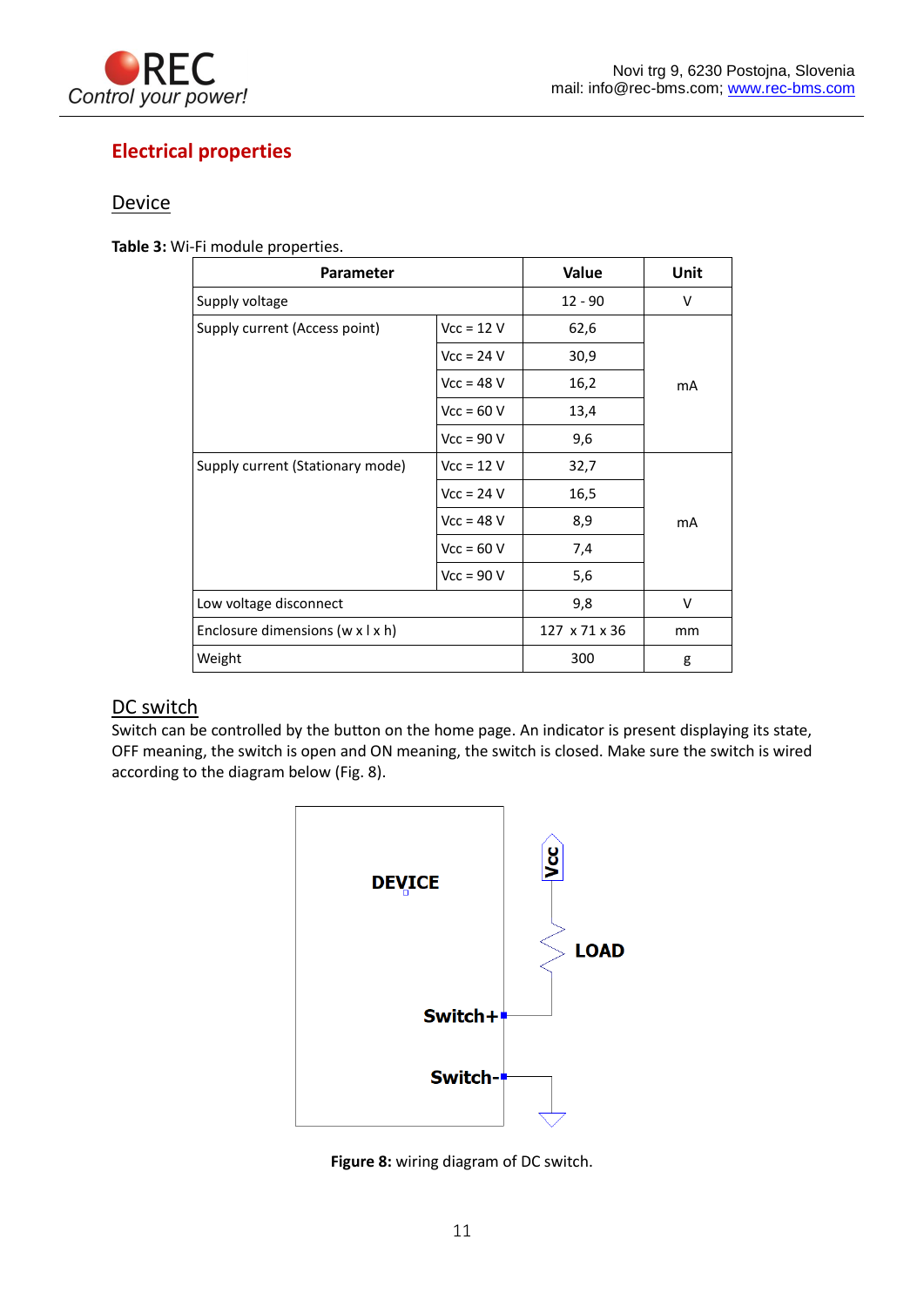

## <span id="page-11-0"></span>**Electrical properties**

## <span id="page-11-1"></span>**Device**

**Table 3:** Wi-Fi module properties.

| <b>Parameter</b>                 |              | Value         | Unit |
|----------------------------------|--------------|---------------|------|
| Supply voltage                   |              | $12 - 90$     | v    |
| Supply current (Access point)    | $Vcc = 12 V$ | 62,6          |      |
|                                  | $Vec = 24 V$ | 30,9          |      |
|                                  | $Vcc = 48 V$ | 16,2          | mA   |
|                                  | $Vec = 60 V$ | 13,4          |      |
|                                  | $Vec = 90 V$ | 9,6           |      |
| Supply current (Stationary mode) | $Vec = 12 V$ | 32,7          |      |
|                                  | $Vec = 24 V$ | 16,5          |      |
|                                  | $Vcc = 48 V$ | 8,9           | mA   |
|                                  | $Vec = 60 V$ | 7,4           |      |
|                                  | $Vcc = 90 V$ | 5,6           |      |
| Low voltage disconnect           |              | 9,8           | v    |
| Enclosure dimensions (w x l x h) |              | 127 x 71 x 36 | mm   |
| Weight                           |              | 300           | g    |

## <span id="page-11-2"></span>DC switch

Switch can be controlled by the button on the home page. An indicator is present displaying its state, OFF meaning, the switch is open and ON meaning, the switch is closed. Make sure the switch is wired according to the diagram below (Fig. 8).



**Figure 8:** wiring diagram of DC switch.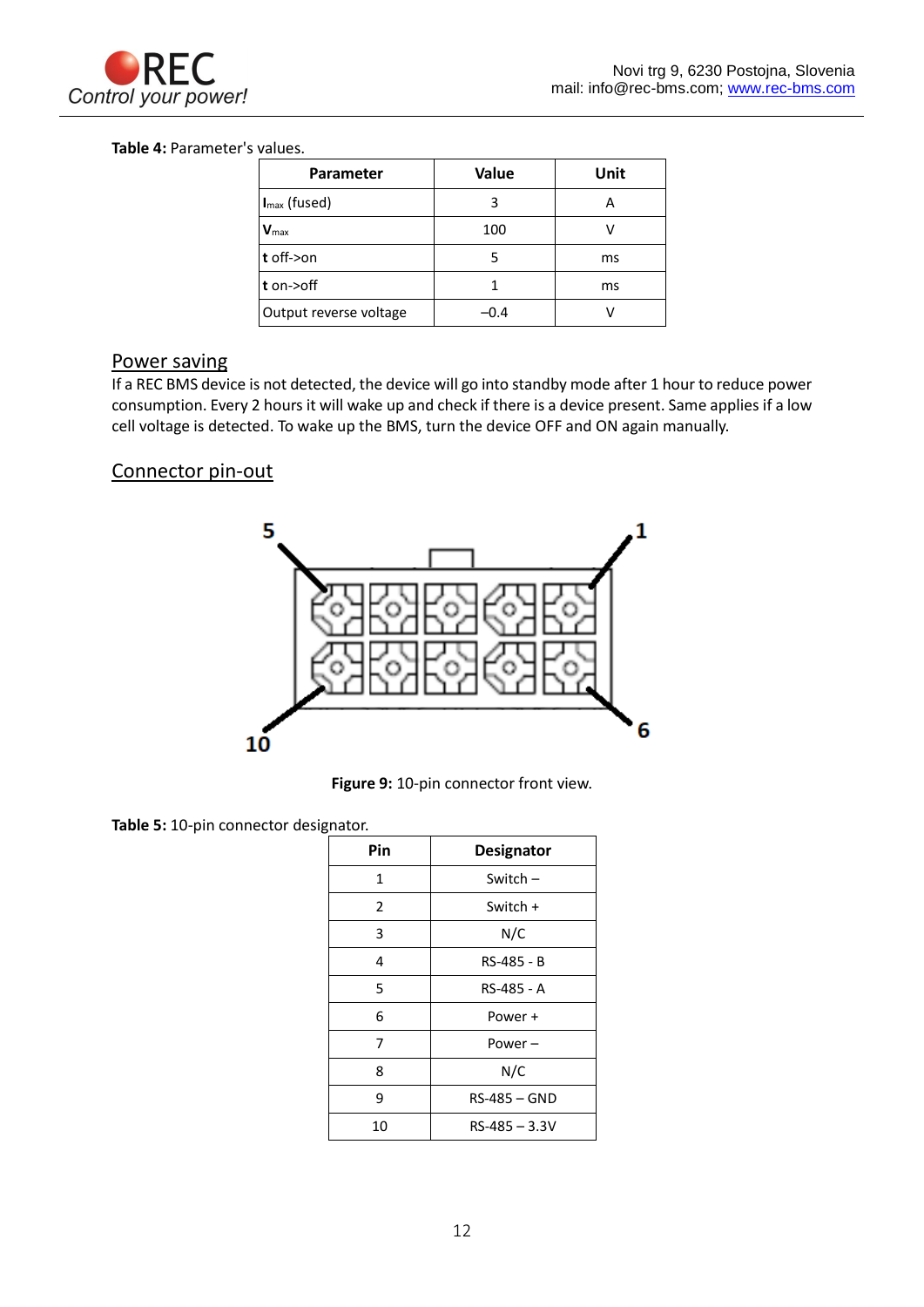

### **Table 4:** Parameter's values.

| <b>Parameter</b>       | Value | Unit |
|------------------------|-------|------|
| $Imax$ (fused)         | 3     | А    |
| $V_{\text{max}}$       | 100   |      |
| $ t $ off->on          | 5     | ms   |
| $t$ on- $\gt$ off      |       | ms   |
| Output reverse voltage | -0.4  | v    |

## <span id="page-12-0"></span>Power saving

If a REC BMS device is not detected, the device will go into standby mode after 1 hour to reduce power consumption. Every 2 hours it will wake up and check if there is a device present. Same applies if a low cell voltage is detected. To wake up the BMS, turn the device OFF and ON again manually.

## <span id="page-12-1"></span>Connector pin-out



**Figure 9:** 10-pin connector front view.

**Table 5:** 10-pin connector designator.

| Pin | <b>Designator</b> |
|-----|-------------------|
| 1   | Switch $-$        |
| 2   | Switch +          |
| 3   | N/C               |
| 4   | RS-485 - B        |
| 5   | RS-485 - A        |
| 6   | Power +           |
| 7   | Power –           |
| 8   | N/C               |
| 9   | RS-485 - GND      |
| 10  | $RS-485 - 3.3V$   |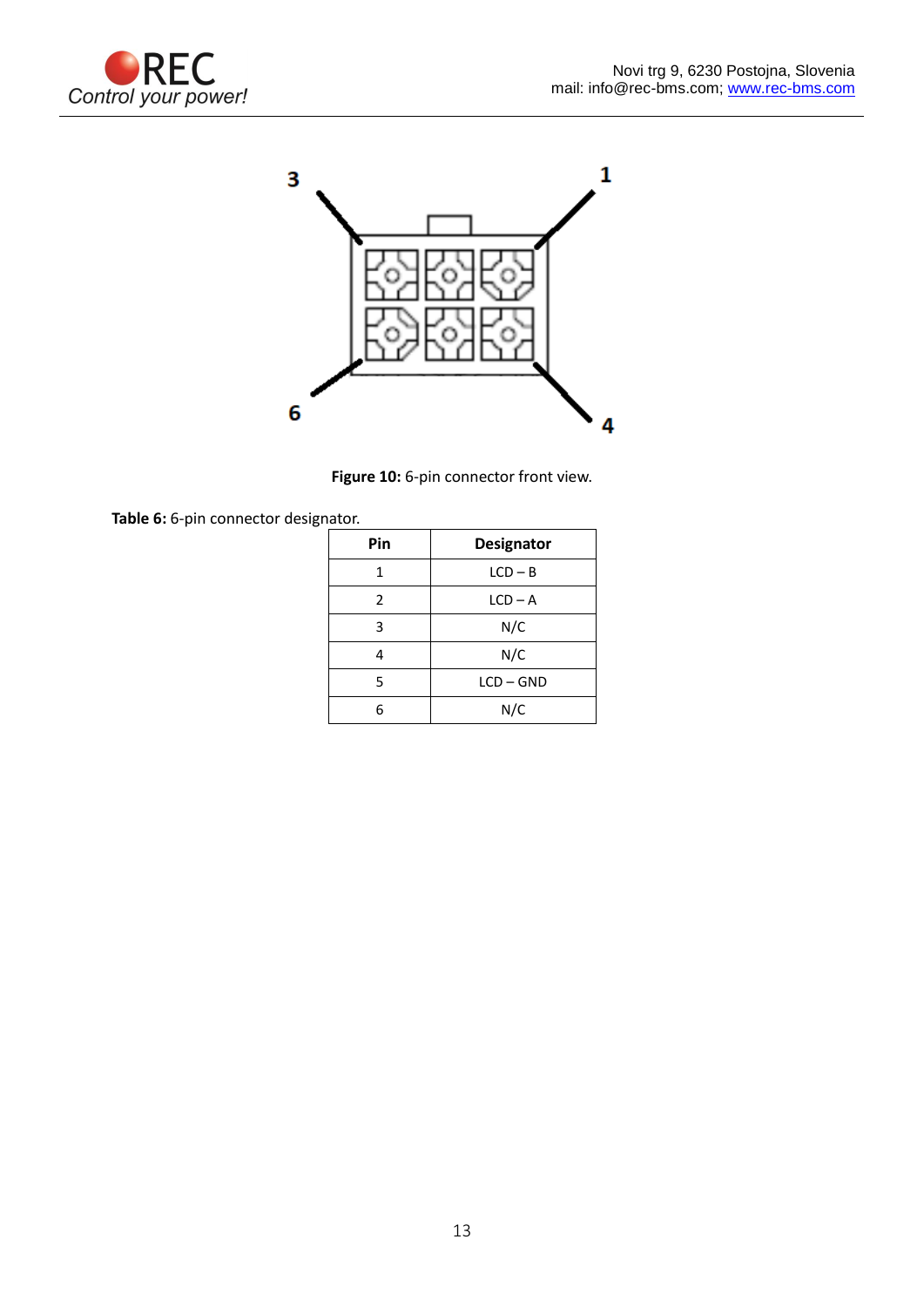



Figure 10: 6-pin connector front view.

**Table 6:** 6-pin connector designator.

| Pin           | <b>Designator</b> |
|---------------|-------------------|
| 1             | $LCD - B$         |
| $\mathcal{P}$ | $LCD - A$         |
| 3             | N/C               |
|               | N/C               |
| 5             | $LCD - GND$       |
| հ             | N/C               |